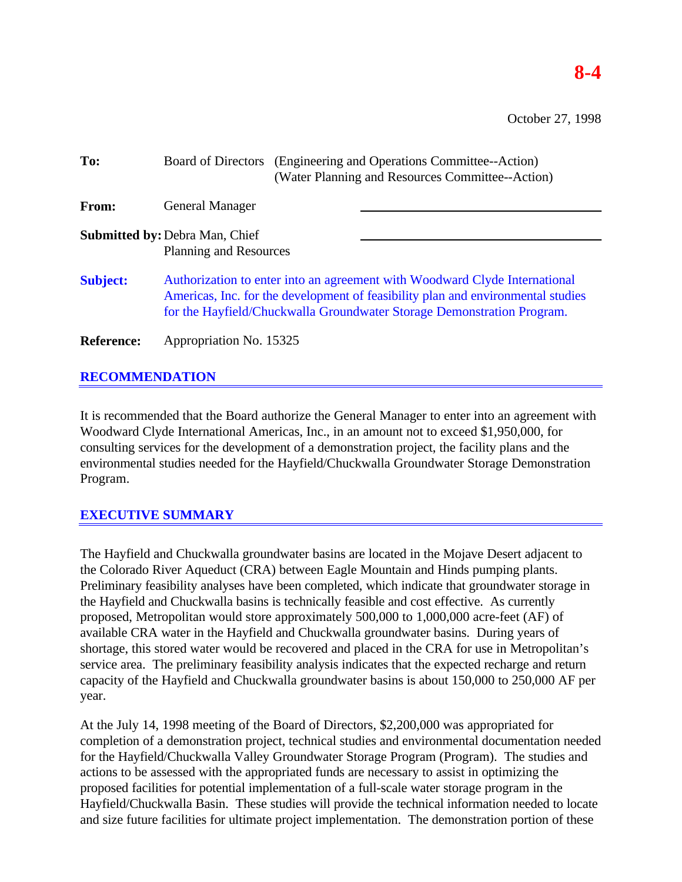# **8-4**

October 27, 1998

| To:               |                                                                                                                                                                                                                                          | Board of Directors (Engineering and Operations Committee--Action)<br>(Water Planning and Resources Committee--Action) |  |  |  |
|-------------------|------------------------------------------------------------------------------------------------------------------------------------------------------------------------------------------------------------------------------------------|-----------------------------------------------------------------------------------------------------------------------|--|--|--|
| From:             | <b>General Manager</b>                                                                                                                                                                                                                   |                                                                                                                       |  |  |  |
|                   | <b>Submitted by: Debra Man, Chief</b><br>Planning and Resources                                                                                                                                                                          |                                                                                                                       |  |  |  |
| <b>Subject:</b>   | Authorization to enter into an agreement with Woodward Clyde International<br>Americas, Inc. for the development of feasibility plan and environmental studies<br>for the Hayfield/Chuckwalla Groundwater Storage Demonstration Program. |                                                                                                                       |  |  |  |
| <b>Reference:</b> | Appropriation No. 15325                                                                                                                                                                                                                  |                                                                                                                       |  |  |  |

# **RECOMMENDATION**

It is recommended that the Board authorize the General Manager to enter into an agreement with Woodward Clyde International Americas, Inc., in an amount not to exceed \$1,950,000, for consulting services for the development of a demonstration project, the facility plans and the environmental studies needed for the Hayfield/Chuckwalla Groundwater Storage Demonstration Program.

## **EXECUTIVE SUMMARY**

The Hayfield and Chuckwalla groundwater basins are located in the Mojave Desert adjacent to the Colorado River Aqueduct (CRA) between Eagle Mountain and Hinds pumping plants. Preliminary feasibility analyses have been completed, which indicate that groundwater storage in the Hayfield and Chuckwalla basins is technically feasible and cost effective. As currently proposed, Metropolitan would store approximately 500,000 to 1,000,000 acre-feet (AF) of available CRA water in the Hayfield and Chuckwalla groundwater basins. During years of shortage, this stored water would be recovered and placed in the CRA for use in Metropolitan's service area. The preliminary feasibility analysis indicates that the expected recharge and return capacity of the Hayfield and Chuckwalla groundwater basins is about 150,000 to 250,000 AF per year.

At the July 14, 1998 meeting of the Board of Directors, \$2,200,000 was appropriated for completion of a demonstration project, technical studies and environmental documentation needed for the Hayfield/Chuckwalla Valley Groundwater Storage Program (Program). The studies and actions to be assessed with the appropriated funds are necessary to assist in optimizing the proposed facilities for potential implementation of a full-scale water storage program in the Hayfield/Chuckwalla Basin. These studies will provide the technical information needed to locate and size future facilities for ultimate project implementation. The demonstration portion of these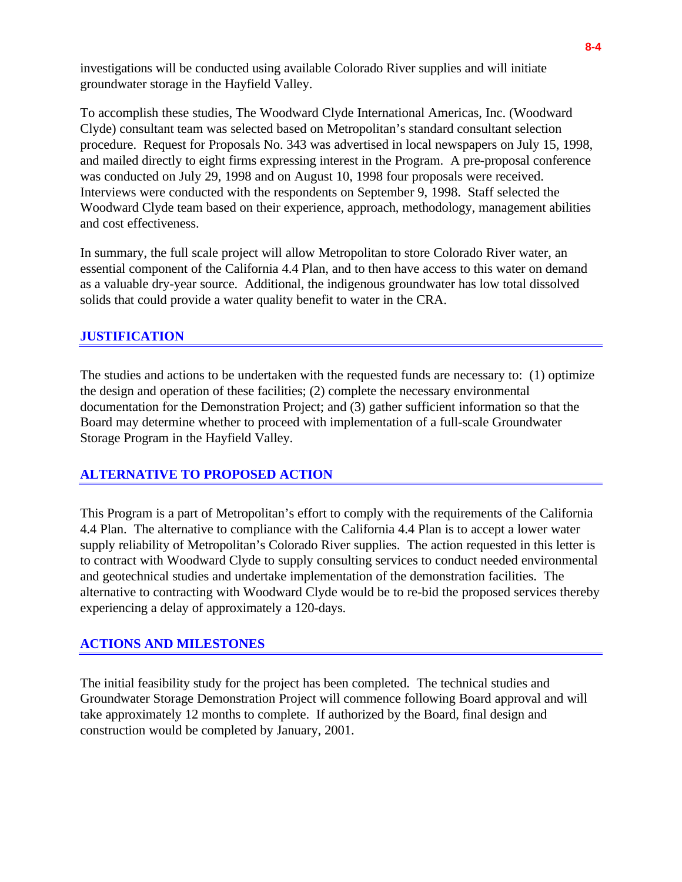investigations will be conducted using available Colorado River supplies and will initiate groundwater storage in the Hayfield Valley.

To accomplish these studies, The Woodward Clyde International Americas, Inc. (Woodward Clyde) consultant team was selected based on Metropolitan's standard consultant selection procedure. Request for Proposals No. 343 was advertised in local newspapers on July 15, 1998, and mailed directly to eight firms expressing interest in the Program. A pre-proposal conference was conducted on July 29, 1998 and on August 10, 1998 four proposals were received. Interviews were conducted with the respondents on September 9, 1998. Staff selected the Woodward Clyde team based on their experience, approach, methodology, management abilities and cost effectiveness.

In summary, the full scale project will allow Metropolitan to store Colorado River water, an essential component of the California 4.4 Plan, and to then have access to this water on demand as a valuable dry-year source. Additional, the indigenous groundwater has low total dissolved solids that could provide a water quality benefit to water in the CRA.

## **JUSTIFICATION**

The studies and actions to be undertaken with the requested funds are necessary to: (1) optimize the design and operation of these facilities; (2) complete the necessary environmental documentation for the Demonstration Project; and (3) gather sufficient information so that the Board may determine whether to proceed with implementation of a full-scale Groundwater Storage Program in the Hayfield Valley.

## **ALTERNATIVE TO PROPOSED ACTION**

This Program is a part of Metropolitan's effort to comply with the requirements of the California 4.4 Plan. The alternative to compliance with the California 4.4 Plan is to accept a lower water supply reliability of Metropolitan's Colorado River supplies. The action requested in this letter is to contract with Woodward Clyde to supply consulting services to conduct needed environmental and geotechnical studies and undertake implementation of the demonstration facilities. The alternative to contracting with Woodward Clyde would be to re-bid the proposed services thereby experiencing a delay of approximately a 120-days.

### **ACTIONS AND MILESTONES**

The initial feasibility study for the project has been completed. The technical studies and Groundwater Storage Demonstration Project will commence following Board approval and will take approximately 12 months to complete. If authorized by the Board, final design and construction would be completed by January, 2001.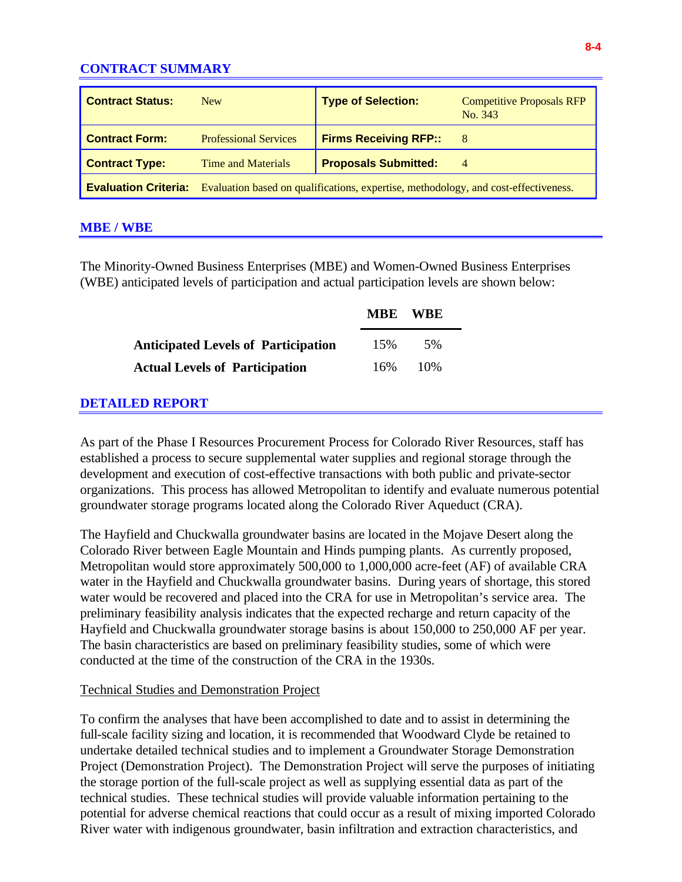# **CONTRACT SUMMARY**

| <b>Contract Status:</b>                                                                                         | <b>New</b>                   | <b>Type of Selection:</b>    | <b>Competitive Proposals RFP</b><br>No. 343 |  |
|-----------------------------------------------------------------------------------------------------------------|------------------------------|------------------------------|---------------------------------------------|--|
| <b>Contract Form:</b>                                                                                           | <b>Professional Services</b> | <b>Firms Receiving RFP::</b> | 8                                           |  |
| <b>Contract Type:</b>                                                                                           | Time and Materials           | <b>Proposals Submitted:</b>  | $\overline{4}$                              |  |
| <b>Evaluation Criteria:</b> Evaluation based on qualifications, expertise, methodology, and cost-effectiveness. |                              |                              |                                             |  |

## **MBE / WBE**

The Minority-Owned Business Enterprises (MBE) and Women-Owned Business Enterprises (WBE) anticipated levels of participation and actual participation levels are shown below:

|                                            |     | MBE WBE |  |
|--------------------------------------------|-----|---------|--|
| <b>Anticipated Levels of Participation</b> | 15% | 5%      |  |
| <b>Actual Levels of Participation</b>      | 16% | 10%     |  |

## **DETAILED REPORT**

As part of the Phase I Resources Procurement Process for Colorado River Resources, staff has established a process to secure supplemental water supplies and regional storage through the development and execution of cost-effective transactions with both public and private-sector organizations. This process has allowed Metropolitan to identify and evaluate numerous potential groundwater storage programs located along the Colorado River Aqueduct (CRA).

The Hayfield and Chuckwalla groundwater basins are located in the Mojave Desert along the Colorado River between Eagle Mountain and Hinds pumping plants. As currently proposed, Metropolitan would store approximately 500,000 to 1,000,000 acre-feet (AF) of available CRA water in the Hayfield and Chuckwalla groundwater basins. During years of shortage, this stored water would be recovered and placed into the CRA for use in Metropolitan's service area. The preliminary feasibility analysis indicates that the expected recharge and return capacity of the Hayfield and Chuckwalla groundwater storage basins is about 150,000 to 250,000 AF per year. The basin characteristics are based on preliminary feasibility studies, some of which were conducted at the time of the construction of the CRA in the 1930s.

### Technical Studies and Demonstration Project

To confirm the analyses that have been accomplished to date and to assist in determining the full-scale facility sizing and location, it is recommended that Woodward Clyde be retained to undertake detailed technical studies and to implement a Groundwater Storage Demonstration Project (Demonstration Project). The Demonstration Project will serve the purposes of initiating the storage portion of the full-scale project as well as supplying essential data as part of the technical studies. These technical studies will provide valuable information pertaining to the potential for adverse chemical reactions that could occur as a result of mixing imported Colorado River water with indigenous groundwater, basin infiltration and extraction characteristics, and